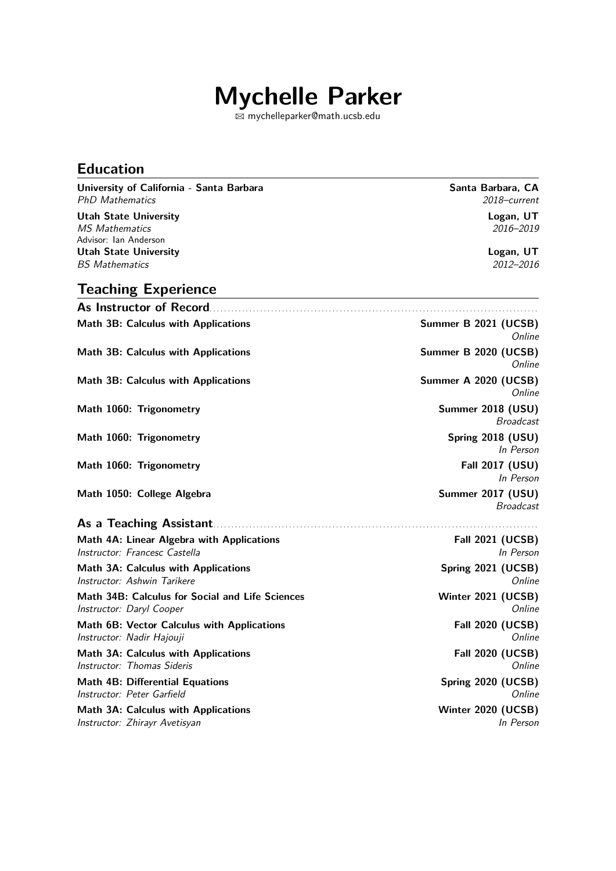# **Mychelle Parker**

B [mychelleparker@math.ucsb.edu](mailto:mychelleparker@math.ucsb.edu)

#### **Education**

**University of California - Santa Barbara Santa Barbara, CA** PhD Mathematics 2018–current Utah State University **Logan, UT**<br> *MS Mathematics* 2016–2019 MS Mathematics

Advisor: Ian Anderson Utah State University<br> *BS Mathematics*2012–2016 **BS** Mathematics

**Teaching Experience**

| Summer B 2021 (UCSB)<br>Online        |
|---------------------------------------|
| Summer B 2020 (UCSB)<br>Online        |
| Summer A 2020 (UCSB)<br>Online        |
| Summer 2018 (USU)<br><b>Broadcast</b> |
| <b>Spring 2018 (USU)</b><br>In Person |
| <b>Fall 2017 (USU)</b><br>In Person   |
| Summer 2017 (USU)<br><b>Broadcast</b> |
|                                       |
| <b>Fall 2021 (UCSB)</b><br>In Person  |
| Spring 2021 (UCSB)<br>Online          |
| Winter 2021 (UCSB)<br>Online          |
| <b>Fall 2020 (UCSB)</b><br>Online     |
| <b>Fall 2020 (UCSB)</b><br>Online     |
| Spring 2020 (UCSB)<br>Online          |
| Winter 2020 (UCSB)<br>In Person       |
|                                       |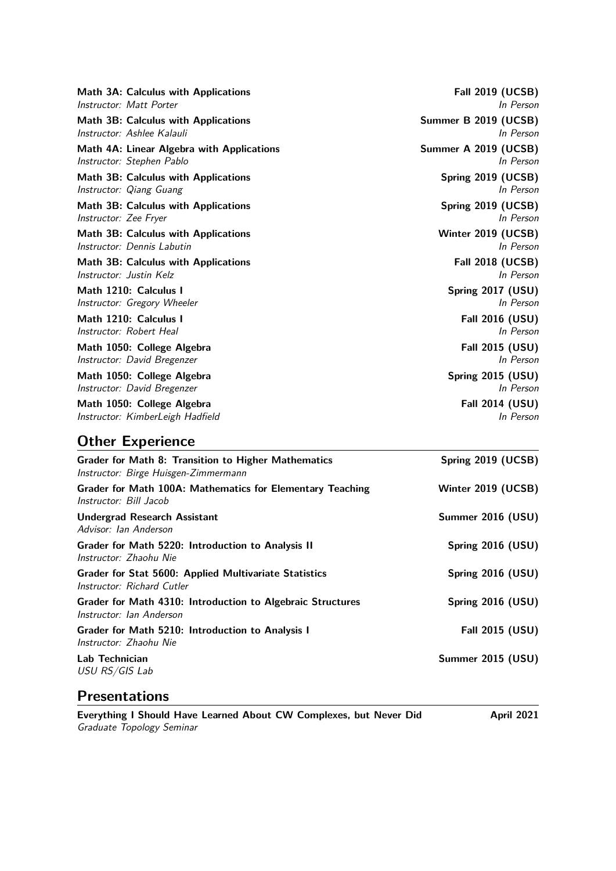| Math 3A: Calculus with Applications       | <b>Fall 2019 (UCSB)</b> |
|-------------------------------------------|-------------------------|
| Instructor: Matt Porter                   | In Person               |
| Math 3B: Calculus with Applications       | Summer B 2019 (UCSB)    |
| Instructor: Ashlee Kalauli                | In Person               |
| Math 4A: Linear Algebra with Applications | Summer A 2019 (UCSB)    |
| Instructor: Stephen Pablo                 | In Person               |
| Math 3B: Calculus with Applications       | Spring 2019 (UCSB)      |
| Instructor: Qiang Guang                   | In Person               |
| Math 3B: Calculus with Applications       | Spring 2019 (UCSB)      |
| Instructor: Zee Fryer                     | In Person               |
| Math 3B: Calculus with Applications       | Winter 2019 (UCSB)      |
| Instructor: Dennis Labutin                | In Person               |
| Math 3B: Calculus with Applications       | <b>Fall 2018 (UCSB)</b> |
| Instructor: Justin Kelz                   | In Person               |
| Math 1210: Calculus I                     | Spring 2017 (USU)       |
| Instructor: Gregory Wheeler               | In Person               |
| Math 1210: Calculus I                     | Fall 2016 (USU)         |
| Instructor: Robert Heal                   | In Person               |
| Math 1050: College Algebra                | Fall 2015 (USU)         |
| Instructor: David Bregenzer               | In Person               |
| Math 1050: College Algebra                | Spring 2015 (USU)       |
| Instructor: David Bregenzer               | In Person               |
| Math 1050: College Algebra                | Fall 2014 (USU)         |
| Instructor: KimberLeigh Hadfield          | In Person               |

### **Other Experience**

| <b>Grader for Math 8: Transition to Higher Mathematics</b><br>Instructor: Birge Huisgen-Zimmermann | Spring 2019 (UCSB) |
|----------------------------------------------------------------------------------------------------|--------------------|
| Grader for Math 100A: Mathematics for Elementary Teaching<br>Instructor: Bill Jacob                | Winter 2019 (UCSB) |
| Undergrad Research Assistant<br>Advisor: Ian Anderson                                              | Summer 2016 (USU)  |
| Grader for Math 5220: Introduction to Analysis II<br>Instructor: Zhaohu Nie                        | Spring 2016 (USU)  |
| Grader for Stat 5600: Applied Multivariate Statistics<br>Instructor: Richard Cutler                | Spring 2016 (USU)  |
| Grader for Math 4310: Introduction to Algebraic Structures<br>Instructor: Ian Anderson             | Spring 2016 (USU)  |
| Grader for Math 5210: Introduction to Analysis I<br>Instructor: Zhaohu Nie                         | Fall 2015 (USU)    |
| Lab Technician<br>USU RS/GIS Lab                                                                   | Summer 2015 (USU)  |

#### **Presentations**

Everything I Should Have Learned About CW Complexes, but Never Did **April 2021** Graduate Topology Seminar